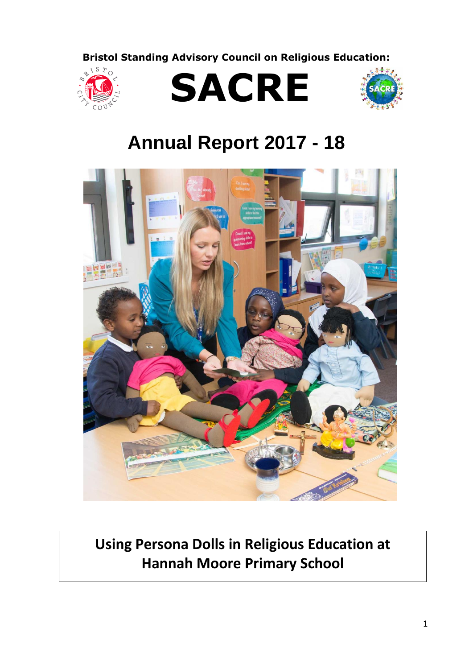**Bristol Standing Advisory Council on Religious Education:**







# **Annual Report 2017 - 18**



**Using Persona Dolls in Religious Education at Hannah Moore Primary School**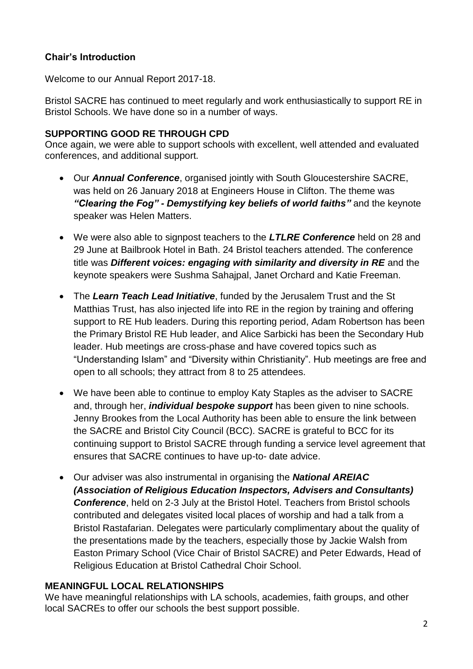#### **Chair's Introduction**

Welcome to our Annual Report 2017-18.

Bristol SACRE has continued to meet regularly and work enthusiastically to support RE in Bristol Schools. We have done so in a number of ways.

#### **SUPPORTING GOOD RE THROUGH CPD**

Once again, we were able to support schools with excellent, well attended and evaluated conferences, and additional support.

- Our *Annual Conference*, organised jointly with South Gloucestershire SACRE, was held on 26 January 2018 at Engineers House in Clifton. The theme was *"Clearing the Fog" - Demystifying key beliefs of world faiths"* and the keynote speaker was Helen Matters.
- We were also able to signpost teachers to the *LTLRE Conference* held on 28 and 29 June at Bailbrook Hotel in Bath. 24 Bristol teachers attended. The conference title was *Different voices: engaging with similarity and diversity in RE* and the keynote speakers were Sushma Sahajpal, Janet Orchard and Katie Freeman.
- The *Learn Teach Lead Initiative*, funded by the Jerusalem Trust and the St Matthias Trust, has also injected life into RE in the region by training and offering support to RE Hub leaders. During this reporting period, Adam Robertson has been the Primary Bristol RE Hub leader, and Alice Sarbicki has been the Secondary Hub leader. Hub meetings are cross-phase and have covered topics such as "Understanding Islam" and "Diversity within Christianity". Hub meetings are free and open to all schools; they attract from 8 to 25 attendees.
- We have been able to continue to employ Katy Staples as the adviser to SACRE and, through her, *individual bespoke support* has been given to nine schools. Jenny Brookes from the Local Authority has been able to ensure the link between the SACRE and Bristol City Council (BCC). SACRE is grateful to BCC for its continuing support to Bristol SACRE through funding a service level agreement that ensures that SACRE continues to have up-to- date advice.
- Our adviser was also instrumental in organising the *National AREIAC (Association of Religious Education Inspectors, Advisers and Consultants) Conference*, held on 2-3 July at the Bristol Hotel. Teachers from Bristol schools contributed and delegates visited local places of worship and had a talk from a Bristol Rastafarian. Delegates were particularly complimentary about the quality of the presentations made by the teachers, especially those by Jackie Walsh from Easton Primary School (Vice Chair of Bristol SACRE) and Peter Edwards, Head of Religious Education at Bristol Cathedral Choir School.

#### **MEANINGFUL LOCAL RELATIONSHIPS**

We have meaningful relationships with LA schools, academies, faith groups, and other local SACREs to offer our schools the best support possible.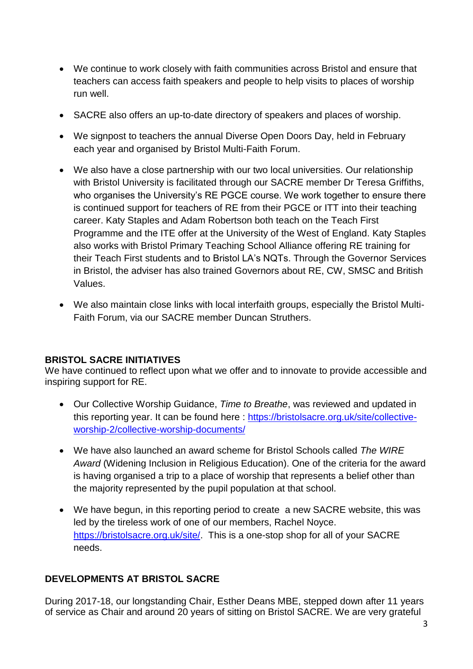- We continue to work closely with faith communities across Bristol and ensure that teachers can access faith speakers and people to help visits to places of worship run well.
- SACRE also offers an up-to-date directory of speakers and places of worship.
- We signpost to teachers the annual Diverse Open Doors Day, held in February each year and organised by Bristol Multi-Faith Forum.
- We also have a close partnership with our two local universities. Our relationship with Bristol University is facilitated through our SACRE member Dr Teresa Griffiths, who organises the University's RE PGCE course. We work together to ensure there is continued support for teachers of RE from their PGCE or ITT into their teaching career. Katy Staples and Adam Robertson both teach on the Teach First Programme and the ITE offer at the University of the West of England. Katy Staples also works with Bristol Primary Teaching School Alliance offering RE training for their Teach First students and to Bristol LA's NQTs. Through the Governor Services in Bristol, the adviser has also trained Governors about RE, CW, SMSC and British Values.
- We also maintain close links with local interfaith groups, especially the Bristol Multi-Faith Forum, via our SACRE member Duncan Struthers.

# **BRISTOL SACRE INITIATIVES**

We have continued to reflect upon what we offer and to innovate to provide accessible and inspiring support for RE.

- Our Collective Worship Guidance, *Time to Breathe*, was reviewed and updated in this reporting year. It can be found here : [https://bristolsacre.org.uk/site/collective](https://bristolsacre.org.uk/site/collective-worship-2/collective-worship-documents/)[worship-2/collective-worship-documents/](https://bristolsacre.org.uk/site/collective-worship-2/collective-worship-documents/)
- We have also launched an award scheme for Bristol Schools called *The WIRE Award* (Widening Inclusion in Religious Education). One of the criteria for the award is having organised a trip to a place of worship that represents a belief other than the majority represented by the pupil population at that school.
- We have begun, in this reporting period to create a new SACRE website, this was led by the tireless work of one of our members, Rachel Noyce. [https://bristolsacre.org.uk/site/.](https://bristolsacre.org.uk/site/) This is a one-stop shop for all of your SACRE needs.

# **DEVELOPMENTS AT BRISTOL SACRE**

During 2017-18, our longstanding Chair, Esther Deans MBE, stepped down after 11 years of service as Chair and around 20 years of sitting on Bristol SACRE. We are very grateful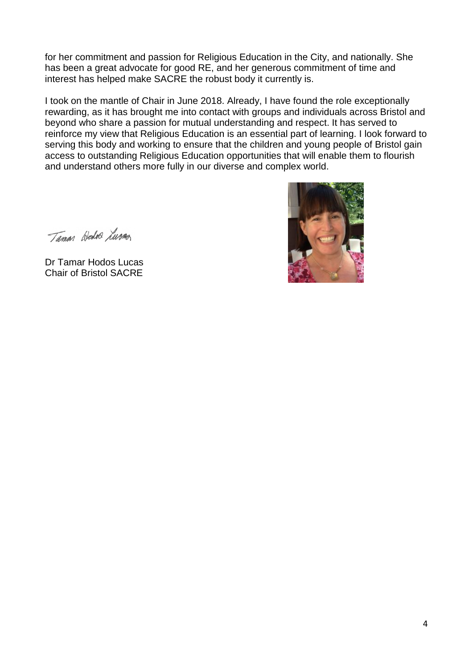for her commitment and passion for Religious Education in the City, and nationally. She has been a great advocate for good RE, and her generous commitment of time and interest has helped make SACRE the robust body it currently is.

I took on the mantle of Chair in June 2018. Already, I have found the role exceptionally rewarding, as it has brought me into contact with groups and individuals across Bristol and beyond who share a passion for mutual understanding and respect. It has served to reinforce my view that Religious Education is an essential part of learning. I look forward to serving this body and working to ensure that the children and young people of Bristol gain access to outstanding Religious Education opportunities that will enable them to flourish and understand others more fully in our diverse and complex world.

Taman Hedro Lura

Dr Tamar Hodos Lucas Chair of Bristol SACRE

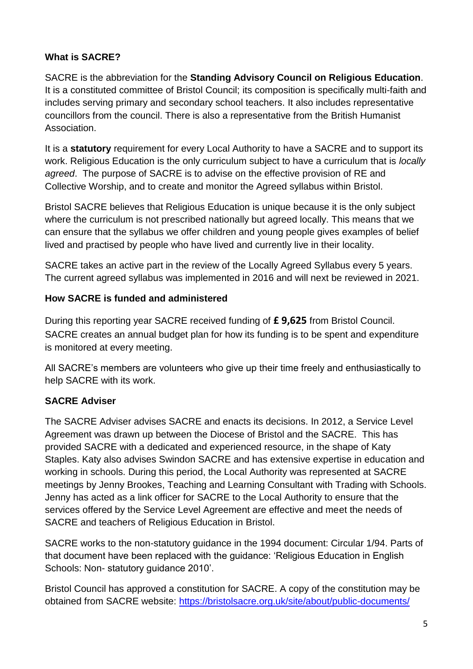# **What is SACRE?**

SACRE is the abbreviation for the **Standing Advisory Council on Religious Education**. It is a constituted committee of Bristol Council; its composition is specifically multi-faith and includes serving primary and secondary school teachers. It also includes representative councillors from the council. There is also a representative from the British Humanist Association.

It is a **statutory** requirement for every Local Authority to have a SACRE and to support its work. Religious Education is the only curriculum subject to have a curriculum that is *locally agreed*. The purpose of SACRE is to advise on the effective provision of RE and Collective Worship, and to create and monitor the Agreed syllabus within Bristol.

Bristol SACRE believes that Religious Education is unique because it is the only subject where the curriculum is not prescribed nationally but agreed locally. This means that we can ensure that the syllabus we offer children and young people gives examples of belief lived and practised by people who have lived and currently live in their locality.

SACRE takes an active part in the review of the Locally Agreed Syllabus every 5 years. The current agreed syllabus was implemented in 2016 and will next be reviewed in 2021.

# **How SACRE is funded and administered**

During this reporting year SACRE received funding of **£ 9,625** from Bristol Council. SACRE creates an annual budget plan for how its funding is to be spent and expenditure is monitored at every meeting.

All SACRE's members are volunteers who give up their time freely and enthusiastically to help SACRE with its work.

# **SACRE Adviser**

The SACRE Adviser advises SACRE and enacts its decisions. In 2012, a Service Level Agreement was drawn up between the Diocese of Bristol and the SACRE. This has provided SACRE with a dedicated and experienced resource, in the shape of Katy Staples. Katy also advises Swindon SACRE and has extensive expertise in education and working in schools. During this period, the Local Authority was represented at SACRE meetings by Jenny Brookes, Teaching and Learning Consultant with Trading with Schools. Jenny has acted as a link officer for SACRE to the Local Authority to ensure that the services offered by the Service Level Agreement are effective and meet the needs of SACRE and teachers of Religious Education in Bristol.

SACRE works to the non-statutory guidance in the 1994 document: Circular 1/94. Parts of that document have been replaced with the guidance: 'Religious Education in English Schools: Non- statutory guidance 2010'.

Bristol Council has approved a constitution for SACRE. A copy of the constitution may be obtained from SACRE website:<https://bristolsacre.org.uk/site/about/public-documents/>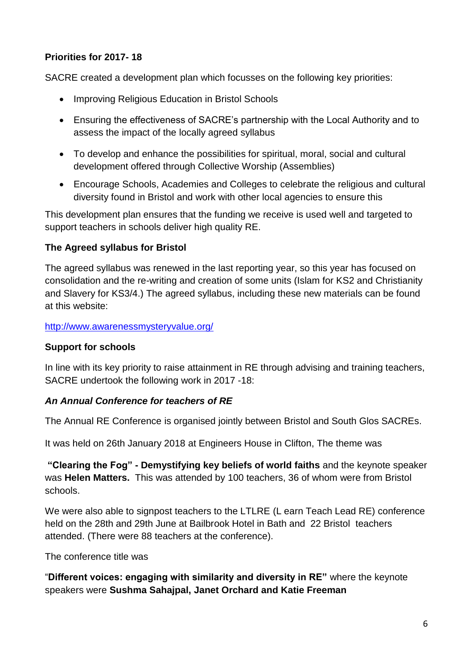# **Priorities for 2017- 18**

SACRE created a development plan which focusses on the following key priorities:

- Improving Religious Education in Bristol Schools
- Ensuring the effectiveness of SACRE's partnership with the Local Authority and to assess the impact of the locally agreed syllabus
- To develop and enhance the possibilities for spiritual, moral, social and cultural development offered through Collective Worship (Assemblies)
- Encourage Schools, Academies and Colleges to celebrate the religious and cultural diversity found in Bristol and work with other local agencies to ensure this

This development plan ensures that the funding we receive is used well and targeted to support teachers in schools deliver high quality RE.

# **The Agreed syllabus for Bristol**

The agreed syllabus was renewed in the last reporting year, so this year has focused on consolidation and the re-writing and creation of some units (Islam for KS2 and Christianity and Slavery for KS3/4.) The agreed syllabus, including these new materials can be found at this website:

<http://www.awarenessmysteryvalue.org/>

#### **Support for schools**

In line with its key priority to raise attainment in RE through advising and training teachers, SACRE undertook the following work in 2017 -18:

#### *An Annual Conference for teachers of RE*

The Annual RE Conference is organised jointly between Bristol and South Glos SACREs.

It was held on 26th January 2018 at Engineers House in Clifton, The theme was

**"Clearing the Fog" - Demystifying key beliefs of world faiths** and the keynote speaker was **Helen Matters.** This was attended by 100 teachers, 36 of whom were from Bristol schools.

We were also able to signpost teachers to the LTLRE (L earn Teach Lead RE) conference held on the 28th and 29th June at Bailbrook Hotel in Bath and 22 Bristol teachers attended. (There were 88 teachers at the conference).

The conference title was

"**Different voices: engaging with similarity and diversity in RE"** where the keynote speakers were **Sushma Sahajpal, Janet Orchard and Katie Freeman**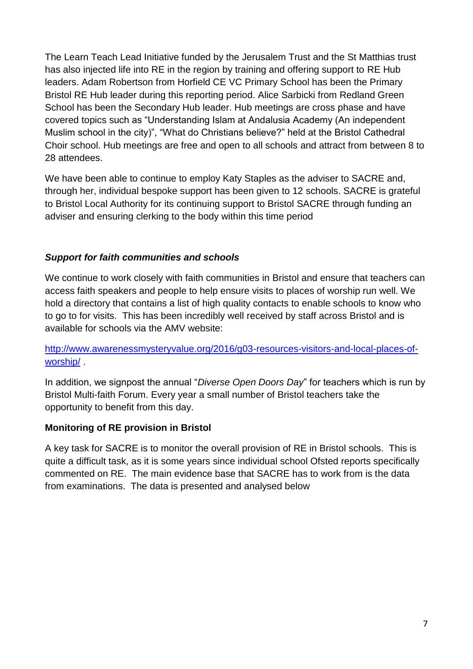The Learn Teach Lead Initiative funded by the Jerusalem Trust and the St Matthias trust has also injected life into RE in the region by training and offering support to RE Hub leaders. Adam Robertson from Horfield CE VC Primary School has been the Primary Bristol RE Hub leader during this reporting period. Alice Sarbicki from Redland Green School has been the Secondary Hub leader. Hub meetings are cross phase and have covered topics such as "Understanding Islam at Andalusia Academy (An independent Muslim school in the city)", "What do Christians believe?" held at the Bristol Cathedral Choir school. Hub meetings are free and open to all schools and attract from between 8 to 28 attendees.

We have been able to continue to employ Katy Staples as the adviser to SACRE and, through her, individual bespoke support has been given to 12 schools. SACRE is grateful to Bristol Local Authority for its continuing support to Bristol SACRE through funding an adviser and ensuring clerking to the body within this time period

# *Support for faith communities and schools*

We continue to work closely with faith communities in Bristol and ensure that teachers can access faith speakers and people to help ensure visits to places of worship run well. We hold a directory that contains a list of high quality contacts to enable schools to know who to go to for visits. This has been incredibly well received by staff across Bristol and is available for schools via the AMV website:

[http://www.awarenessmysteryvalue.org/2016/g03-resources-visitors-and-local-places-of](http://www.awarenessmysteryvalue.org/2016/g03-resources-visitors-and-local-places-of-worship/)[worship/](http://www.awarenessmysteryvalue.org/2016/g03-resources-visitors-and-local-places-of-worship/) .

In addition, we signpost the annual "*Diverse Open Doors Day*" for teachers which is run by Bristol Multi-faith Forum. Every year a small number of Bristol teachers take the opportunity to benefit from this day.

#### **Monitoring of RE provision in Bristol**

A key task for SACRE is to monitor the overall provision of RE in Bristol schools. This is quite a difficult task, as it is some years since individual school Ofsted reports specifically commented on RE. The main evidence base that SACRE has to work from is the data from examinations. The data is presented and analysed below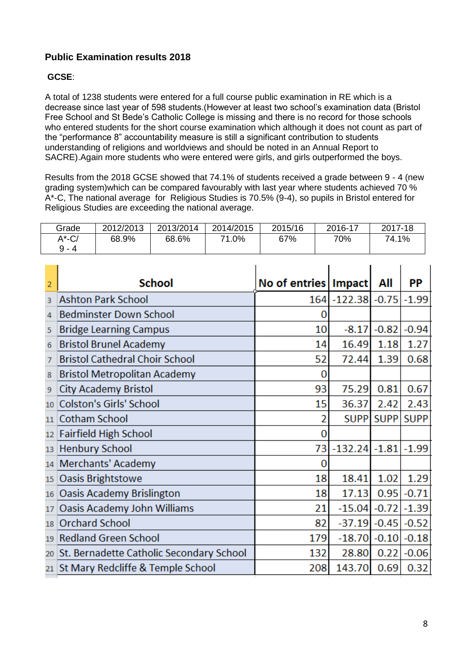#### **Public Examination results 2018**

#### **GCSE**:

A total of 1238 students were entered for a full course public examination in RE which is a decrease since last year of 598 students.(However at least two school's examination data (Bristol Free School and St Bede's Catholic College is missing and there is no record for those schools who entered students for the short course examination which although it does not count as part of the "performance 8" accountability measure is still a significant contribution to students understanding of religions and worldviews and should be noted in an Annual Report to SACRE).Again more students who were entered were girls, and girls outperformed the boys.

Results from the 2018 GCSE showed that 74.1% of students received a grade between 9 - 4 (new grading system)which can be compared favourably with last year where students achieved 70 % A\*-C, The national average for Religious Studies is 70.5% (9-4), so pupils in Bristol entered for Religious Studies are exceeding the national average.

|                      |           | <b>School</b> |           | No of entries   Impact   All |         |       | РP      |  |
|----------------------|-----------|---------------|-----------|------------------------------|---------|-------|---------|--|
| $A^*$ -C/<br>$9 - 4$ | 68.9%     | 68.6%         | 71.0%     | 67%                          | 70%     | 74.1% |         |  |
| Grade                | 2012/2013 | 2013/2014     | 2014/2015 | 2015/16                      | 2016-17 |       | 2017-18 |  |

| ۷  | ouivui                                   | <b>IND OF CHUTCS HIPPOLE</b> |                     | мш          | г г         |
|----|------------------------------------------|------------------------------|---------------------|-------------|-------------|
| 3  | <b>Ashton Park School</b>                |                              | 164 - 122.38 - 0.75 |             | $-1.99$     |
| 4  | <b>Bedminster Down School</b>            | 0                            |                     |             |             |
| 5  | <b>Bridge Learning Campus</b>            | 10                           | $-8.17$             | $-0.82$     | $-0.94$     |
| 6  | <b>Bristol Brunel Academy</b>            | 14                           | 16.49               | 1.18        | 1.27        |
| 7  | <b>Bristol Cathedral Choir School</b>    | 52                           | 72.44               | 1.39        | 0.68        |
| 8  | <b>Bristol Metropolitan Academy</b>      | O                            |                     |             |             |
| 9  | <b>City Academy Bristol</b>              | 93                           | 75.29               | 0.81        | 0.67        |
| 10 | <b>Colston's Girls' School</b>           | 15                           | 36.37               | 2.42        | 2.43        |
| 11 | <b>Cotham School</b>                     |                              | <b>SUPP</b>         | <b>SUPP</b> | <b>SUPP</b> |
| 12 | <b>Fairfield High School</b>             | 0                            |                     |             |             |
| 13 | <b>Henbury School</b>                    | 73                           | $-132.24$ $-1.81$   |             | $-1.99$     |
| 14 | <b>Merchants' Academy</b>                | 0                            |                     |             |             |
| 15 | Oasis Brightstowe                        | 18                           | 18.41               | 1.02        | 1.29        |
| 16 | <b>Oasis Academy Brislington</b>         | 18                           | 17.13               | 0.95        | $-0.71$     |
| 17 | Oasis Academy John Williams              | 21                           | $-15.04$            | $-0.72$     | $-1.39$     |
| 18 | <b>Orchard School</b>                    | 82                           | $-37.19$            | $-0.45$     | $-0.52$     |
| 19 | <b>Redland Green School</b>              | 179                          | $-18.70$            | $-0.10$     | $-0.18$     |
| 20 | St. Bernadette Catholic Secondary School | 132                          | 28.80               | 0.22        | $-0.06$     |
| 21 | St Mary Redcliffe & Temple School        | 208                          | 143.70              | 0.69        | 0.32        |
|    |                                          |                              |                     |             |             |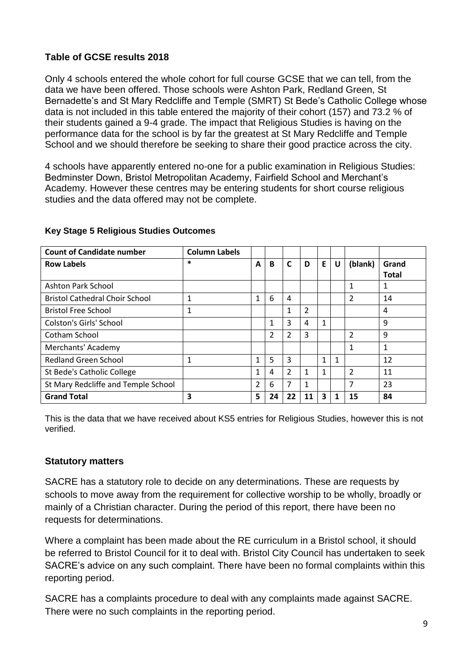#### **Table of GCSE results 2018**

Only 4 schools entered the whole cohort for full course GCSE that we can tell, from the data we have been offered. Those schools were Ashton Park, Redland Green, St Bernadette's and St Mary Redcliffe and Temple (SMRT) St Bede's Catholic College whose data is not included in this table entered the majority of their cohort (157) and 73.2 % of their students gained a 9-4 grade. The impact that Religious Studies is having on the performance data for the school is by far the greatest at St Mary Redcliffe and Temple School and we should therefore be seeking to share their good practice across the city.

4 schools have apparently entered no-one for a public examination in Religious Studies: Bedminster Down, Bristol Metropolitan Academy, Fairfield School and Merchant's Academy. However these centres may be entering students for short course religious studies and the data offered may not be complete.

| <b>Count of Candidate number</b>      | <b>Column Labels</b> |                |                |    |    |    |   |                |                       |
|---------------------------------------|----------------------|----------------|----------------|----|----|----|---|----------------|-----------------------|
| <b>Row Labels</b>                     | $\ast$               | A              | B              | C  | D  | E. | U | (blank)        | Grand<br><b>Total</b> |
| Ashton Park School                    |                      |                |                |    |    |    |   | 1              | 1                     |
| <b>Bristol Cathedral Choir School</b> | 1                    | 1              | 6              | 4  |    |    |   | 2              | 14                    |
| <b>Bristol Free School</b>            | 1                    |                |                | 1  | 2  |    |   |                | 4                     |
| <b>Colston's Girls' School</b>        |                      |                | 1              | 3  | 4  | 1  |   |                | 9                     |
| Cotham School                         |                      |                | $\overline{2}$ | 2  | 3  |    |   | $\overline{2}$ | 9                     |
| Merchants' Academy                    |                      |                |                |    |    |    |   | 1              | 1                     |
| <b>Redland Green School</b>           | 1                    | 1              | 5              | 3  |    | 1  | 1 |                | 12                    |
| St Bede's Catholic College            |                      | 1              | 4              | 2  | 1  | 1  |   | 2              | 11                    |
| St Mary Redcliffe and Temple School   |                      | $\overline{2}$ | 6              | 7  | 1  |    |   | 7              | 23                    |
| <b>Grand Total</b>                    | 3                    | 5              | 24             | 22 | 11 | 3  |   | 15             | 84                    |

#### **Key Stage 5 Religious Studies Outcomes**

This is the data that we have received about KS5 entries for Religious Studies, however this is not verified.

#### **Statutory matters**

SACRE has a statutory role to decide on any determinations. These are requests by schools to move away from the requirement for collective worship to be wholly, broadly or mainly of a Christian character. During the period of this report, there have been no requests for determinations.

Where a complaint has been made about the RE curriculum in a Bristol school, it should be referred to Bristol Council for it to deal with. Bristol City Council has undertaken to seek SACRE's advice on any such complaint. There have been no formal complaints within this reporting period.

SACRE has a complaints procedure to deal with any complaints made against SACRE. There were no such complaints in the reporting period.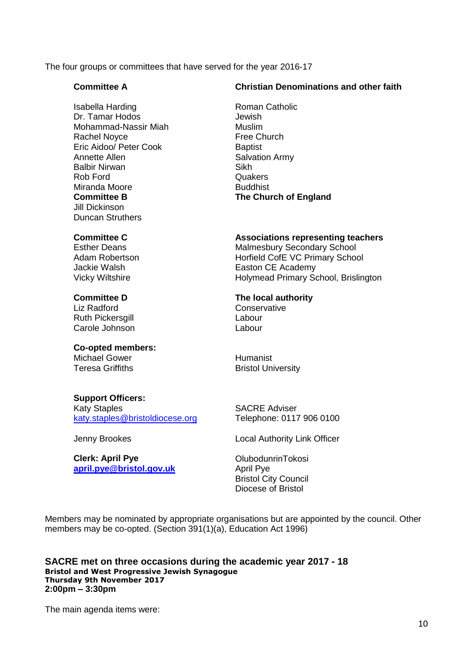The four groups or committees that have served for the year 2016-17

#### **Committee A**

Isabella Harding Dr. Tamar Hodos Mohammad-Nassir Miah Rachel Noyce Eric Aidoo/ Peter Cook Annette Allen Balbir Nirwan Rob Ford Miranda Moore **Committee B** Jill Dickinson Duncan Struthers

# **Christian Denominations and other faith**

Roman Catholic Jewish Muslim Free Church **Baptist** Salvation Army Sikh **Quakers** Buddhist **The Church of England**

#### **Committee C**

Esther Deans Adam Robertson Jackie Walsh Vicky Wiltshire

#### **Committee D**

Liz Radford Ruth Pickersgill Carole Johnson

#### **Co-opted members:** Michael Gower

Teresa Griffiths

#### **Support Officers:**

Katy Staples [katy.staples@bristoldiocese.org](mailto:katy.staples@bristoldiocese.org)

Jenny Brookes

**Clerk: April Pye [april.pye@bristol.gov.uk](mailto:april.pye@bristol.gov.uk)** **Associations representing teachers** Malmesbury Secondary School Horfield CofE VC Primary School Easton CE Academy Holymead Primary School, Brislington

**The local authority Conservative** Labour Labour

Humanist Bristol University

SACRE Adviser Telephone: 0117 906 0100

Local Authority Link Officer

OlubodunrinTokosi April Pye Bristol City Council Diocese of Bristol

Members may be nominated by appropriate organisations but are appointed by the council. Other members may be co-opted. (Section 391(1)(a), Education Act 1996)

**SACRE met on three occasions during the academic year 2017 - 18 Bristol and West Progressive Jewish Synagogue Thursday 9th November 2017 2:00pm – 3:30pm**

The main agenda items were: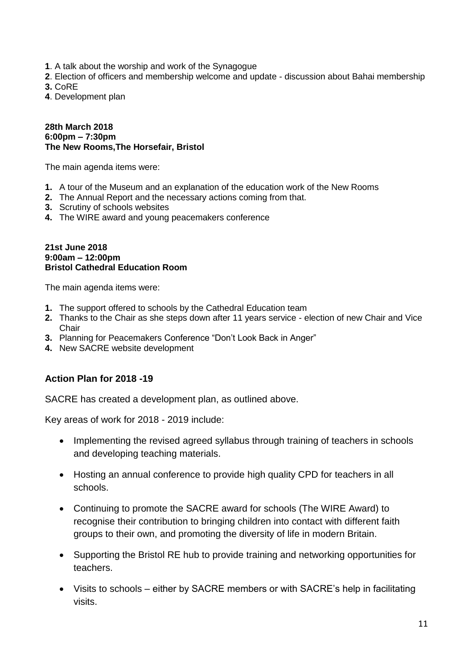- **1**. A talk about the worship and work of the Synagogue
- **2**. Election of officers and membership welcome and update discussion about Bahai membership

**3.** CoRE

**4**. Development plan

#### **28th March 2018 6:00pm – 7:30pm The New Rooms,The Horsefair, Bristol**

The main agenda items were:

- **1.** A tour of the Museum and an explanation of the education work of the New Rooms
- **2.** The Annual Report and the necessary actions coming from that.
- **3.** Scrutiny of schools websites
- **4.** The WIRE award and young peacemakers conference

#### **21st June 2018 9:00am – 12:00pm Bristol Cathedral Education Room**

The main agenda items were:

- **1.** The support offered to schools by the Cathedral Education team
- **2.** Thanks to the Chair as she steps down after 11 years service election of new Chair and Vice **Chair**
- **3.** Planning for Peacemakers Conference "Don't Look Back in Anger"
- **4.** New SACRE website development

#### **Action Plan for 2018 -19**

SACRE has created a development plan, as outlined above.

Key areas of work for 2018 - 2019 include:

- Implementing the revised agreed syllabus through training of teachers in schools and developing teaching materials.
- Hosting an annual conference to provide high quality CPD for teachers in all schools.
- Continuing to promote the SACRE award for schools (The WIRE Award) to recognise their contribution to bringing children into contact with different faith groups to their own, and promoting the diversity of life in modern Britain.
- Supporting the Bristol RE hub to provide training and networking opportunities for teachers.
- Visits to schools either by SACRE members or with SACRE's help in facilitating visits.